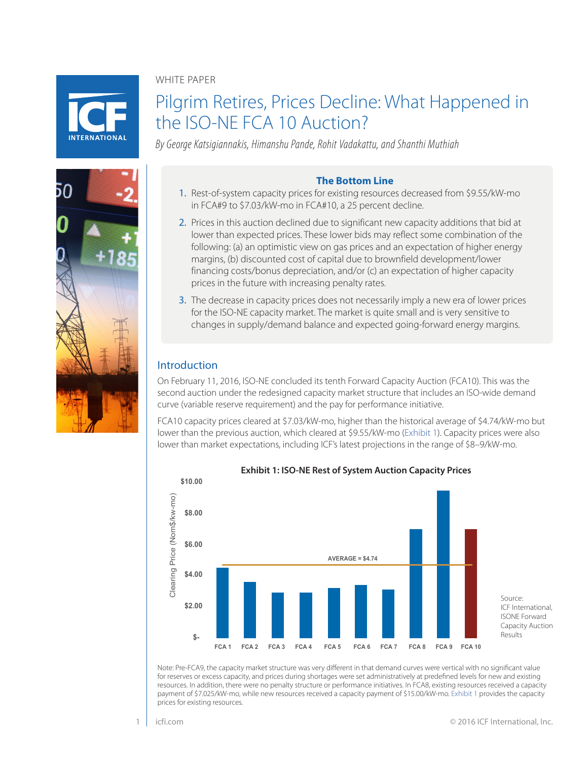WHITE PAPER



50

# Pilgrim Retires, Prices Decline: What Happened in the ISO-NE FCA 10 Auction?

*By George Katsigiannakis, Himanshu Pande, Rohit Vadakattu, and Shanthi Muthiah*

# **The Bottom Line**

- 1. Rest-of-system capacity prices for existing resources decreased from \$9.55/kW-mo in FCA#9 to \$7.03/kW-mo in FCA#10, a 25 percent decline.
- 2. Prices in this auction declined due to significant new capacity additions that bid at lower than expected prices. These lower bids may reflect some combination of the following: (a) an optimistic view on gas prices and an expectation of higher energy margins, (b) discounted cost of capital due to brownfield development/lower financing costs/bonus depreciation, and/or (c) an expectation of higher capacity prices in the future with increasing penalty rates.
- 3. The decrease in capacity prices does not necessarily imply a new era of lower prices for the ISO-NE capacity market. The market is quite small and is very sensitive to changes in supply/demand balance and expected going-forward energy margins.

# Introduction

On February 11, 2016, ISO-NE concluded its tenth Forward Capacity Auction (FCA10). This was the second auction under the redesigned capacity market structure that includes an ISO-wide demand curve (variable reserve requirement) and the pay for performance initiative.

FCA10 capacity prices cleared at \$7.03/kW-mo, higher than the historical average of \$4.74/kW-mo but lower than the previous auction, which cleared at \$9.55/kW-mo [\(Exhibit 1\)](#page-0-0). Capacity prices were also lower than market expectations, including ICF's latest projections in the range of \$8–9/kW-mo.



<span id="page-0-0"></span>**Exhibit 1: ISO-NE Rest of System Auction Capacity Prices**

Note: Pre-FCA9, the capacity market structure was very different in that demand curves were vertical with no significant value for reserves or excess capacity, and prices during shortages were set administratively at predefined levels for new and existing resources. In addition, there were no penalty structure or performance initiatives. In FCA8, existing resources received a capacity payment of \$7.025/kW-mo, while new resources received a capacity payment of \$15.00/kW-mo. [Exhibit 1](#page-0-0) provides the capacity prices for existing resources.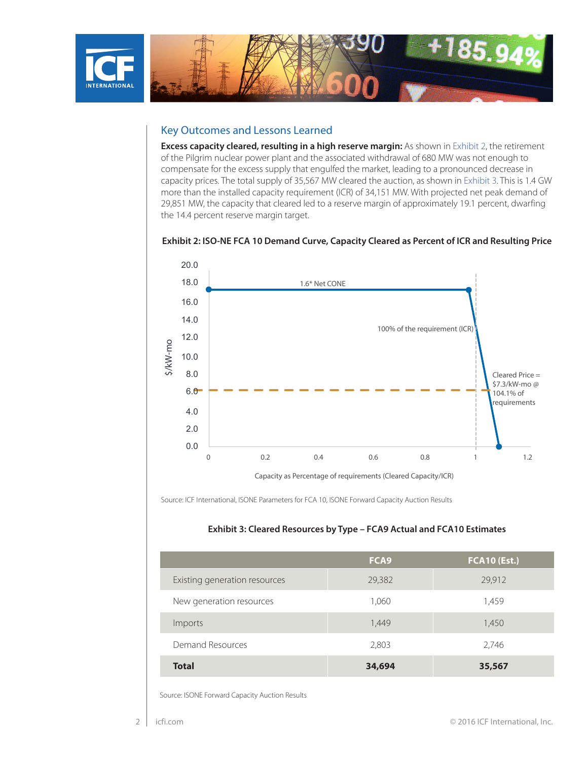

# Key Outcomes and Lessons Learned

**Excess capacity cleared, resulting in a high reserve margin:** As shown in [Exhibit 2,](#page-1-0) the retirement of the Pilgrim nuclear power plant and the associated withdrawal of 680 MW was not enough to compensate for the excess supply that engulfed the market, leading to a pronounced decrease in capacity prices. The total supply of 35,567 MW cleared the auction, as shown in [Exhibit 3](#page-1-1). This is 1.4 GW more than the installed capacity requirement (ICR) of 34,151 MW. With projected net peak demand of 29,851 MW, the capacity that cleared led to a reserve margin of approximately 19.1 percent, dwarfing the 14.4 percent reserve margin target.

#### <span id="page-1-0"></span>**Exhibit 2: ISO-NE FCA 10 Demand Curve, Capacity Cleared as Percent of ICR and Resulting Price**



Source: ICF International, ISONE Parameters for FCA 10, ISONE Forward Capacity Auction Results

#### <span id="page-1-1"></span>**Exhibit 3: Cleared Resources by Type – FCA9 Actual and FCA10 Estimates**

|                               | FCA <sub>9</sub> | <b>FCA10 (Est.)</b> |
|-------------------------------|------------------|---------------------|
| Existing generation resources | 29,382           | 29,912              |
| New generation resources      | 1,060            | 1,459               |
| Imports                       | 1,449            | 1,450               |
| Demand Resources              | 2,803            | 2,746               |
| <b>Total</b>                  | 34,694           | 35,567              |

Source: ISONE Forward Capacity Auction Results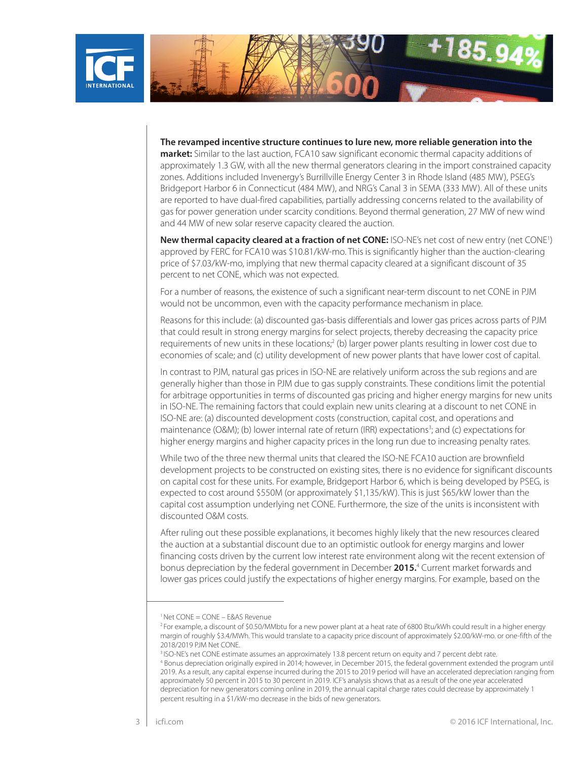

**The revamped incentive structure continues to lure new, more reliable generation into the market:** Similar to the last auction, FCA10 saw significant economic thermal capacity additions of approximately 1.3 GW, with all the new thermal generators clearing in the import constrained capacity zones. Additions included Invenergy's Burrillville Energy Center 3 in Rhode Island (485 MW), PSEG's Bridgeport Harbor 6 in Connecticut (484 MW), and NRG's Canal 3 in SEMA (333 MW). All of these units are reported to have dual-fired capabilities, partially addressing concerns related to the availability of gas for power generation under scarcity conditions. Beyond thermal generation, 27 MW of new wind and 44 MW of new solar reserve capacity cleared the auction.

**New thermal capacity cleared at a fraction of net CONE:** ISO-NE's net cost of new entry (net CONE<sup>1</sup>) approved by FERC for FCA10 was \$10.81/kW-mo. This is significantly higher than the auction-clearing price of \$7.03/kW-mo, implying that new thermal capacity cleared at a significant discount of 35 percent to net CONE, which was not expected.

For a number of reasons, the existence of such a significant near-term discount to net CONE in PJM would not be uncommon, even with the capacity performance mechanism in place.

Reasons for this include: (a) discounted gas-basis differentials and lower gas prices across parts of PJM that could result in strong energy margins for select projects, thereby decreasing the capacity price requirements of new units in these locations;<sup>2</sup> (b) larger power plants resulting in lower cost due to economies of scale; and (c) utility development of new power plants that have lower cost of capital.

In contrast to PJM, natural gas prices in ISO-NE are relatively uniform across the sub regions and are generally higher than those in PJM due to gas supply constraints. These conditions limit the potential for arbitrage opportunities in terms of discounted gas pricing and higher energy margins for new units in ISO-NE. The remaining factors that could explain new units clearing at a discount to net CONE in ISO-NE are: (a) discounted development costs (construction, capital cost, and operations and maintenance (O&M); (b) lower internal rate of return (IRR) expectations<sup>3</sup>; and (c) expectations for higher energy margins and higher capacity prices in the long run due to increasing penalty rates.

While two of the three new thermal units that cleared the ISO-NE FCA10 auction are brownfield development projects to be constructed on existing sites, there is no evidence for significant discounts on capital cost for these units. For example, Bridgeport Harbor 6, which is being developed by PSEG, is expected to cost around \$550M (or approximately \$1,135/kW). This is just \$65/kW lower than the capital cost assumption underlying net CONE. Furthermore, the size of the units is inconsistent with discounted O&M costs.

After ruling out these possible explanations, it becomes highly likely that the new resources cleared the auction at a substantial discount due to an optimistic outlook for energy margins and lower financing costs driven by the current low interest rate environment along wit the recent extension of bonus depreciation by the federal government in December **2015.**<sup>4</sup> Current market forwards and lower gas prices could justify the expectations of higher energy margins. For example, based on the

<sup>1</sup> Net CONE = CONE – E&AS Revenue

<sup>&</sup>lt;sup>2</sup> For example, a discount of \$0.50/MMbtu for a new power plant at a heat rate of 6800 Btu/kWh could result in a higher energy margin of roughly \$3.4/MWh. This would translate to a capacity price discount of approximately \$2.00/kW-mo. or one-fifth of the 2018/2019 PJM Net CONE.

<sup>&</sup>lt;sup>3</sup> ISO-NE's net CONE estimate assumes an approximately 13.8 percent return on equity and 7 percent debt rate.

<sup>4</sup> Bonus depreciation originally expired in 2014; however, in December 2015, the federal government extended the program until 2019. As a result, any capital expense incurred during the 2015 to 2019 period will have an accelerated depreciation ranging from approximately 50 percent in 2015 to 30 percent in 2019. ICF's analysis shows that as a result of the one year accelerated depreciation for new generators coming online in 2019, the annual capital charge rates could decrease by approximately 1 percent resulting in a \$1/kW-mo decrease in the bids of new generators.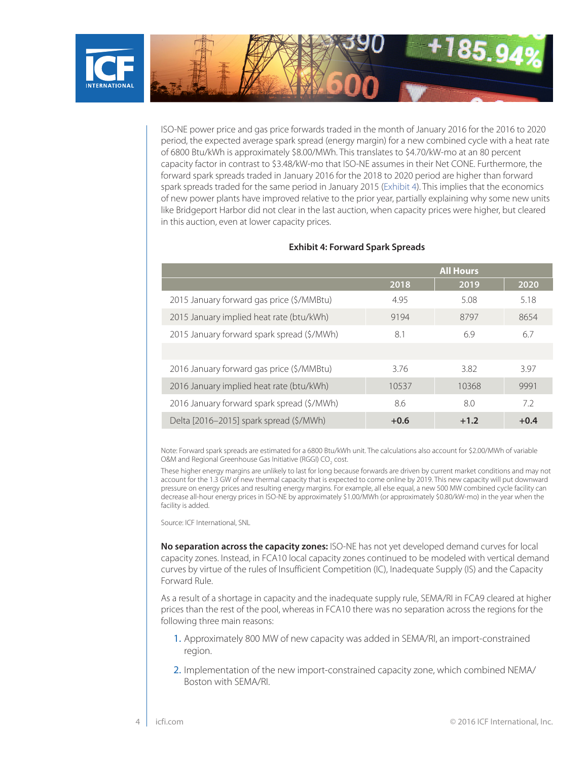

ISO-NE power price and gas price forwards traded in the month of January 2016 for the 2016 to 2020 period, the expected average spark spread (energy margin) for a new combined cycle with a heat rate of 6800 Btu/kWh is approximately \$8.00/MWh. This translates to \$4.70/kW-mo at an 80 percent capacity factor in contrast to \$3.48/kW-mo that ISO-NE assumes in their Net CONE. Furthermore, the forward spark spreads traded in January 2016 for the 2018 to 2020 period are higher than forward spark spreads traded for the same period in January 2015 ([Exhibit 4\)](#page-3-0). This implies that the economics of new power plants have improved relative to the prior year, partially explaining why some new units like Bridgeport Harbor did not clear in the last auction, when capacity prices were higher, but cleared in this auction, even at lower capacity prices.

|                                            | <b>All Hours</b> |        |        |
|--------------------------------------------|------------------|--------|--------|
|                                            | 2018             | 2019   | 2020   |
| 2015 January forward gas price (\$/MMBtu)  | 4.95             | 5.08   | 5.18   |
| 2015 January implied heat rate (btu/kWh)   | 9194             | 8797   | 8654   |
| 2015 January forward spark spread (\$/MWh) | 8.1              | 6.9    | 6.7    |
|                                            |                  |        |        |
| 2016 January forward gas price (\$/MMBtu)  | 3.76             | 3.82   | 3.97   |
| 2016 January implied heat rate (btu/kWh)   | 10537            | 10368  | 9991   |
| 2016 January forward spark spread (\$/MWh) | 8.6              | 8.0    | 7.2    |
| Delta [2016-2015] spark spread (\$/MWh)    | $+0.6$           | $+1.2$ | $+0.4$ |

#### <span id="page-3-0"></span>**Exhibit 4: Forward Spark Spreads**

Note: Forward spark spreads are estimated for a 6800 Btu/kWh unit. The calculations also account for \$2.00/MWh of variable O&M and Regional Greenhouse Gas Initiative (RGGI) CO<sub>2</sub> cost.

These higher energy margins are unlikely to last for long because forwards are driven by current market conditions and may not account for the 1.3 GW of new thermal capacity that is expected to come online by 2019. This new capacity will put downward pressure on energy prices and resulting energy margins. For example, all else equal, a new 500 MW combined cycle facility can decrease all-hour energy prices in ISO-NE by approximately \$1.00/MWh (or approximately \$0.80/kW-mo) in the year when the facility is added.

Source: ICF International, SNL

**No separation across the capacity zones:** ISO-NE has not yet developed demand curves for local capacity zones. Instead, in FCA10 local capacity zones continued to be modeled with vertical demand curves by virtue of the rules of Insufficient Competition (IC), Inadequate Supply (IS) and the Capacity Forward Rule.

As a result of a shortage in capacity and the inadequate supply rule, SEMA/RI in FCA9 cleared at higher prices than the rest of the pool, whereas in FCA10 there was no separation across the regions for the following three main reasons:

- 1. Approximately 800 MW of new capacity was added in SEMA/RI, an import-constrained region.
- 2. Implementation of the new import-constrained capacity zone, which combined NEMA/ Boston with SEMA/RI.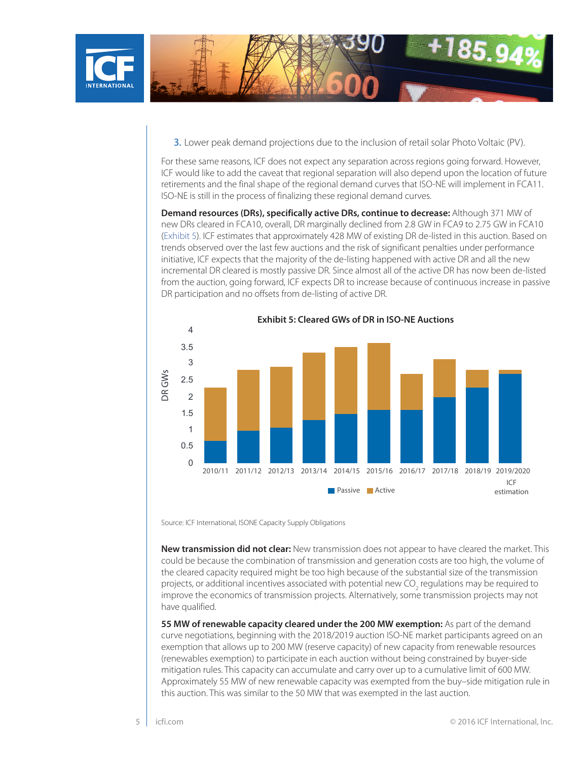

3. Lower peak demand projections due to the inclusion of retail solar Photo Voltaic (PV).

For these same reasons, ICF does not expect any separation across regions going forward. However, ICF would like to add the caveat that regional separation will also depend upon the location of future retirements and the final shape of the regional demand curves that ISO-NE will implement in FCA11. ISO-NE is still in the process of finalizing these regional demand curves.

**Demand resources (DRs), specifically active DRs, continue to decrease:** Although 371 MW of new DRs cleared in FCA10, overall, DR marginally declined from 2.8 GW in FCA9 to 2.75 GW in FCA10 ([Exhibit 5\)](#page-4-0). ICF estimates that approximately 428 MW of existing DR de-listed in this auction. Based on trends observed over the last few auctions and the risk of significant penalties under performance initiative, ICF expects that the majority of the de-listing happened with active DR and all the new incremental DR cleared is mostly passive DR. Since almost all of the active DR has now been de-listed from the auction, going forward, ICF expects DR to increase because of continuous increase in passive DR participation and no offsets from de-listing of active DR.



<span id="page-4-0"></span>**Exhibit 5: Cleared GWs of DR in ISO-NE Auctions**

Source: ICF International, ISONE Capacity Supply Obligations

**New transmission did not clear:** New transmission does not appear to have cleared the market. This could be because the combination of transmission and generation costs are too high, the volume of the cleared capacity required might be too high because of the substantial size of the transmission projects, or additional incentives associated with potential new CO<sub>2</sub> regulations may be required to improve the economics of transmission projects. Alternatively, some transmission projects may not have qualified.

**55 MW of renewable capacity cleared under the 200 MW exemption:** As part of the demand curve negotiations, beginning with the 2018/2019 auction ISO-NE market participants agreed on an exemption that allows up to 200 MW (reserve capacity) of new capacity from renewable resources (renewables exemption) to participate in each auction without being constrained by buyer-side mitigation rules. This capacity can accumulate and carry over up to a cumulative limit of 600 MW. Approximately 55 MW of new renewable capacity was exempted from the buy–side mitigation rule in this auction. This was similar to the 50 MW that was exempted in the last auction.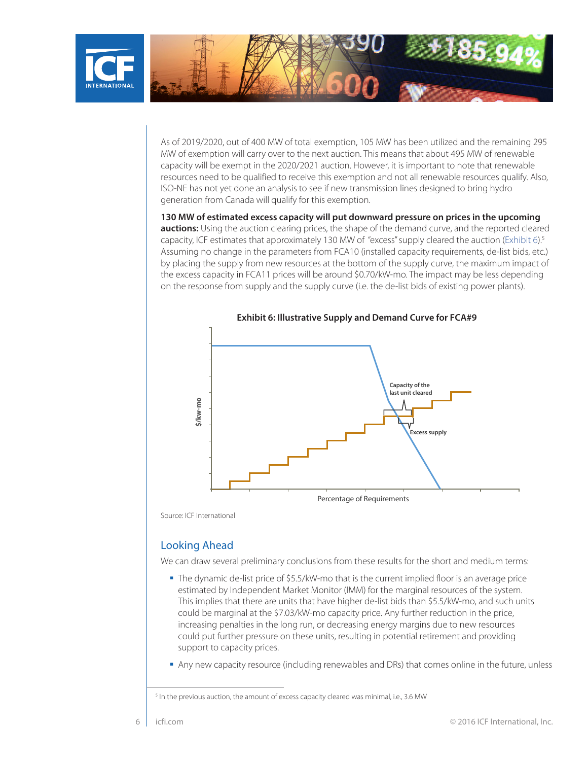

As of 2019/2020, out of 400 MW of total exemption, 105 MW has been utilized and the remaining 295 MW of exemption will carry over to the next auction. This means that about 495 MW of renewable capacity will be exempt in the 2020/2021 auction. However, it is important to note that renewable resources need to be qualified to receive this exemption and not all renewable resources qualify. Also, ISO-NE has not yet done an analysis to see if new transmission lines designed to bring hydro generation from Canada will qualify for this exemption.

**130 MW of estimated excess capacity will put downward pressure on prices in the upcoming auctions:** Using the auction clearing prices, the shape of the demand curve, and the reported cleared capacity, ICF estimates that approximately 130 MW of "excess" supply cleared the auction ([Exhibit 6](#page-5-0)).<sup>5</sup> Assuming no change in the parameters from FCA10 (installed capacity requirements, de-list bids, etc.) by placing the supply from new resources at the bottom of the supply curve, the maximum impact of the excess capacity in FCA11 prices will be around \$0.70/kW-mo. The impact may be less depending on the response from supply and the supply curve (i.e. the de-list bids of existing power plants).



<span id="page-5-0"></span>**Exhibit 6: Illustrative Supply and Demand Curve for FCA#9**

Source: ICF International

# Looking Ahead

We can draw several preliminary conclusions from these results for the short and medium terms:

- The dynamic de-list price of \$5.5/kW-mo that is the current implied floor is an average price estimated by Independent Market Monitor (IMM) for the marginal resources of the system. This implies that there are units that have higher de-list bids than \$5.5/kW-mo, and such units could be marginal at the \$7.03/kW-mo capacity price. Any further reduction in the price, increasing penalties in the long run, or decreasing energy margins due to new resources could put further pressure on these units, resulting in potential retirement and providing support to capacity prices.
- Any new capacity resource (including renewables and DRs) that comes online in the future, unless

<sup>&</sup>lt;sup>5</sup> In the previous auction, the amount of excess capacity cleared was minimal, i.e., 3.6 MW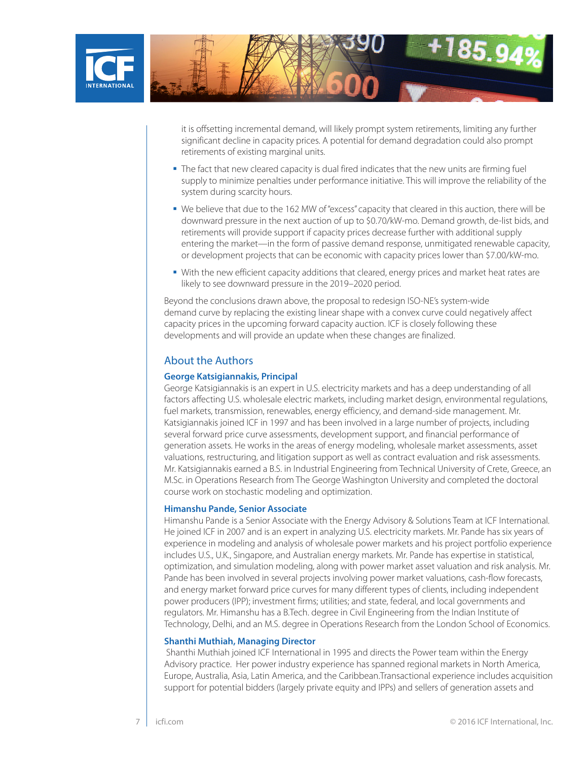

it is offsetting incremental demand, will likely prompt system retirements, limiting any further significant decline in capacity prices. A potential for demand degradation could also prompt retirements of existing marginal units.

- The fact that new cleared capacity is dual fired indicates that the new units are firming fuel supply to minimize penalties under performance initiative. This will improve the reliability of the system during scarcity hours.
- We believe that due to the 162 MW of "excess" capacity that cleared in this auction, there will be downward pressure in the next auction of up to \$0.70/kW-mo. Demand growth, de-list bids, and retirements will provide support if capacity prices decrease further with additional supply entering the market—in the form of passive demand response, unmitigated renewable capacity, or development projects that can be economic with capacity prices lower than \$7.00/kW-mo.
- With the new efficient capacity additions that cleared, energy prices and market heat rates are likely to see downward pressure in the 2019–2020 period.

Beyond the conclusions drawn above, the proposal to redesign ISO-NE's system-wide demand curve by replacing the existing linear shape with a convex curve could negatively affect capacity prices in the upcoming forward capacity auction. ICF is closely following these developments and will provide an update when these changes are finalized.

### About the Authors

#### **George Katsigiannakis, Principal**

George Katsigiannakis is an expert in U.S. electricity markets and has a deep understanding of all factors affecting U.S. wholesale electric markets, including market design, environmental regulations, fuel markets, transmission, renewables, energy efficiency, and demand-side management. Mr. Katsigiannakis joined ICF in 1997 and has been involved in a large number of projects, including several forward price curve assessments, development support, and financial performance of generation assets. He works in the areas of energy modeling, wholesale market assessments, asset valuations, restructuring, and litigation support as well as contract evaluation and risk assessments. Mr. Katsigiannakis earned a B.S. in Industrial Engineering from Technical University of Crete, Greece, an M.Sc. in Operations Research from The George Washington University and completed the doctoral course work on stochastic modeling and optimization.

#### **Himanshu Pande, Senior Associate**

Himanshu Pande is a Senior Associate with the Energy Advisory & Solutions Team at ICF International. He joined ICF in 2007 and is an expert in analyzing U.S. electricity markets. Mr. Pande has six years of experience in modeling and analysis of wholesale power markets and his project portfolio experience includes U.S., U.K., Singapore, and Australian energy markets. Mr. Pande has expertise in statistical, optimization, and simulation modeling, along with power market asset valuation and risk analysis. Mr. Pande has been involved in several projects involving power market valuations, cash-flow forecasts, and energy market forward price curves for many different types of clients, including independent power producers (IPP); investment firms; utilities; and state, federal, and local governments and regulators. Mr. Himanshu has a B.Tech. degree in Civil Engineering from the Indian Institute of Technology, Delhi, and an M.S. degree in Operations Research from the London School of Economics.

#### **Shanthi Muthiah, Managing Director**

Shanthi Muthiah joined ICF International in 1995 and directs the Power team within the Energy Advisory practice. Her power industry experience has spanned regional markets in North America, Europe, Australia, Asia, Latin America, and the Caribbean.Transactional experience includes acquisition support for potential bidders (largely private equity and IPPs) and sellers of generation assets and